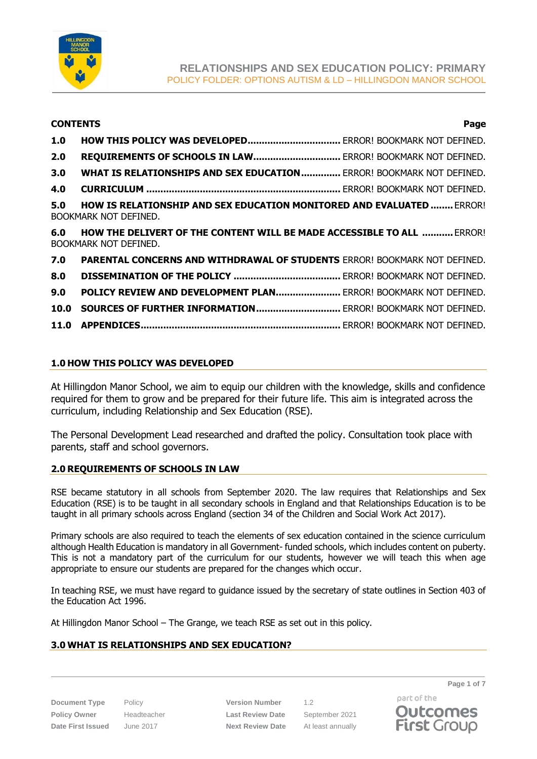

# **CONTENTS Page 1.0 HOW THIS POLICY WAS DEVELOPED.................................** ERROR! BOOKMARK NOT DEFINED. **2.0 REQUIREMENTS OF SCHOOLS IN LAW...............................** ERROR! BOOKMARK NOT DEFINED. **3.0 WHAT IS RELATIONSHIPS AND SEX EDUCATION..............** ERROR! BOOKMARK NOT DEFINED. **4.0 CURRICULUM .....................................................................** ERROR! BOOKMARK NOT DEFINED. **5.0 HOW IS RELATIONSHIP AND SEX EDUCATION MONITORED AND EVALUATED ........** ERROR! BOOKMARK NOT DEFINED. **6.0 HOW THE DELIVERT OF THE CONTENT WILL BE MADE ACCESSIBLE TO ALL ...........** ERROR! BOOKMARK NOT DEFINED. **7.0 PARENTAL CONCERNS AND WITHDRAWAL OF STUDENTS** ERROR! BOOKMARK NOT DEFINED. **8.0 DISSEMINATION OF THE POLICY ......................................** ERROR! BOOKMARK NOT DEFINED. **9.0 POLICY REVIEW AND DEVELOPMENT PLAN.......................** ERROR! BOOKMARK NOT DEFINED. **10.0 SOURCES OF FURTHER INFORMATION..............................** ERROR! BOOKMARK NOT DEFINED.

**11.0 APPENDICES.......................................................................** ERROR! BOOKMARK NOT DEFINED.

# **1.0 HOW THIS POLICY WAS DEVELOPED**

At Hillingdon Manor School, we aim to equip our children with the knowledge, skills and confidence required for them to grow and be prepared for their future life. This aim is integrated across the curriculum, including Relationship and Sex Education (RSE).

The Personal Development Lead researched and drafted the policy. Consultation took place with parents, staff and school governors.

# **2.0 REQUIREMENTS OF SCHOOLS IN LAW**

RSE became statutory in all schools from September 2020. The law requires that Relationships and Sex Education (RSE) is to be taught in all secondary schools in England and that Relationships Education is to be taught in all primary schools across England (section 34 of the Children and Social Work Act 2017).

Primary schools are also required to teach the elements of sex education contained in the science curriculum although Health Education is mandatory in all Government- funded schools, which includes content on puberty. This is not a mandatory part of the curriculum for our students, however we will teach this when age appropriate to ensure our students are prepared for the changes which occur.

In teaching RSE, we must have regard to guidance issued by the secretary of state outlines in Section 403 of the Education Act 1996.

At Hillingdon Manor School – The Grange, we teach RSE as set out in this policy.

# **3.0 WHAT IS RELATIONSHIPS AND SEX EDUCATION?**

**Document Type** Policy **Version Number** 1.2 **Policy Owner** Headteacher **Last Review Date** September 2021 **Date First Issued** June 2017 **Next Review Date** At least annually

**Page 1 of 7**

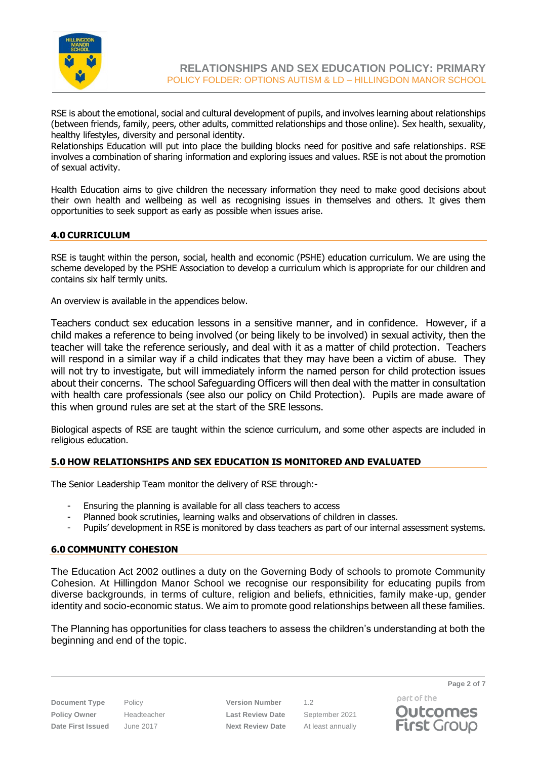

RSE is about the emotional, social and cultural development of pupils, and involves learning about relationships (between friends, family, peers, other adults, committed relationships and those online). Sex health, sexuality, healthy lifestyles, diversity and personal identity.

Relationships Education will put into place the building blocks need for positive and safe relationships. RSE involves a combination of sharing information and exploring issues and values. RSE is not about the promotion of sexual activity.

Health Education aims to give children the necessary information they need to make good decisions about their own health and wellbeing as well as recognising issues in themselves and others. It gives them opportunities to seek support as early as possible when issues arise.

# **4.0 CURRICULUM**

RSE is taught within the person, social, health and economic (PSHE) education curriculum. We are using the scheme developed by the PSHE Association to develop a curriculum which is appropriate for our children and contains six half termly units.

An overview is available in the appendices below.

Teachers conduct sex education lessons in a sensitive manner, and in confidence. However, if a child makes a reference to being involved (or being likely to be involved) in sexual activity, then the teacher will take the reference seriously, and deal with it as a matter of child protection. Teachers will respond in a similar way if a child indicates that they may have been a victim of abuse. They will not try to investigate, but will immediately inform the named person for child protection issues about their concerns. The school Safeguarding Officers will then deal with the matter in consultation with health care professionals (see also our policy on Child Protection). Pupils are made aware of this when ground rules are set at the start of the SRE lessons.

Biological aspects of RSE are taught within the science curriculum, and some other aspects are included in religious education.

# **5.0 HOW RELATIONSHIPS AND SEX EDUCATION IS MONITORED AND EVALUATED**

The Senior Leadership Team monitor the delivery of RSE through:-

- Ensuring the planning is available for all class teachers to access
- Planned book scrutinies, learning walks and observations of children in classes.
- Pupils' development in RSE is monitored by class teachers as part of our internal assessment systems.

# **6.0 COMMUNITY COHESION**

The Education Act 2002 outlines a duty on the Governing Body of schools to promote Community Cohesion. At Hillingdon Manor School we recognise our responsibility for educating pupils from diverse backgrounds, in terms of culture, religion and beliefs, ethnicities, family make-up, gender identity and socio-economic status. We aim to promote good relationships between all these families.

The Planning has opportunities for class teachers to assess the children's understanding at both the beginning and end of the topic.

**Document Type** Policy **Version Number** 1.2 **Policy Owner** Headteacher **Last Review Date** September 2021 **Date First Issued** June 2017 **Next Review Date** At least annually

part of the **Outcomes First Group**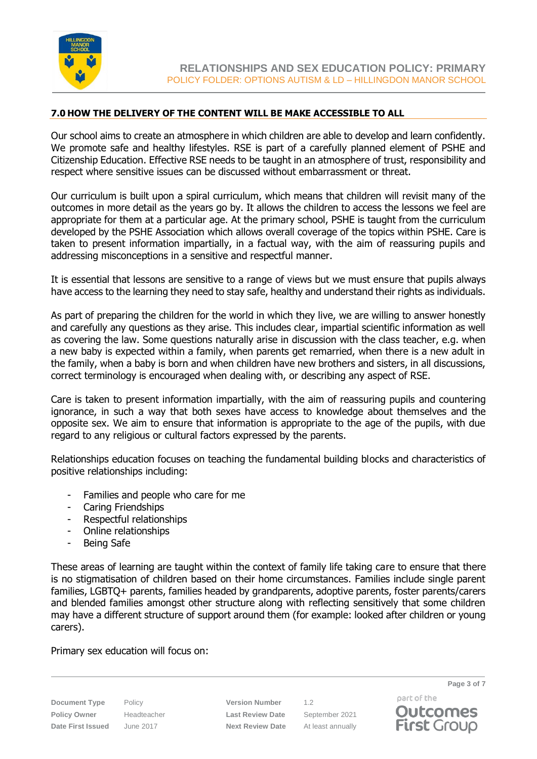

# **7.0 HOW THE DELIVERY OF THE CONTENT WILL BE MAKE ACCESSIBLE TO ALL**

Our school aims to create an atmosphere in which children are able to develop and learn confidently. We promote safe and healthy lifestyles. RSE is part of a carefully planned element of PSHE and Citizenship Education. Effective RSE needs to be taught in an atmosphere of trust, responsibility and respect where sensitive issues can be discussed without embarrassment or threat.

Our curriculum is built upon a spiral curriculum, which means that children will revisit many of the outcomes in more detail as the years go by. It allows the children to access the lessons we feel are appropriate for them at a particular age. At the primary school, PSHE is taught from the curriculum developed by the PSHE Association which allows overall coverage of the topics within PSHE. Care is taken to present information impartially, in a factual way, with the aim of reassuring pupils and addressing misconceptions in a sensitive and respectful manner.

It is essential that lessons are sensitive to a range of views but we must ensure that pupils always have access to the learning they need to stay safe, healthy and understand their rights as individuals.

As part of preparing the children for the world in which they live, we are willing to answer honestly and carefully any questions as they arise. This includes clear, impartial scientific information as well as covering the law. Some questions naturally arise in discussion with the class teacher, e.g. when a new baby is expected within a family, when parents get remarried, when there is a new adult in the family, when a baby is born and when children have new brothers and sisters, in all discussions, correct terminology is encouraged when dealing with, or describing any aspect of RSE.

Care is taken to present information impartially, with the aim of reassuring pupils and countering ignorance, in such a way that both sexes have access to knowledge about themselves and the opposite sex. We aim to ensure that information is appropriate to the age of the pupils, with due regard to any religious or cultural factors expressed by the parents.

Relationships education focuses on teaching the fundamental building blocks and characteristics of positive relationships including:

- Families and people who care for me
- Caring Friendships
- Respectful relationships
- Online relationships
- Being Safe

These areas of learning are taught within the context of family life taking care to ensure that there is no stigmatisation of children based on their home circumstances. Families include single parent families, LGBTQ+ parents, families headed by grandparents, adoptive parents, foster parents/carers and blended families amongst other structure along with reflecting sensitively that some children may have a different structure of support around them (for example: looked after children or young carers).

Primary sex education will focus on:

**Document Type** Policy **Version Number** 1.2 **Policy Owner** Headteacher **Last Review Date** September 2021 **Date First Issued** June 2017 **Next Review Date** At least annually

part of the **Outcomes First Group** 

**Page 3 of 7**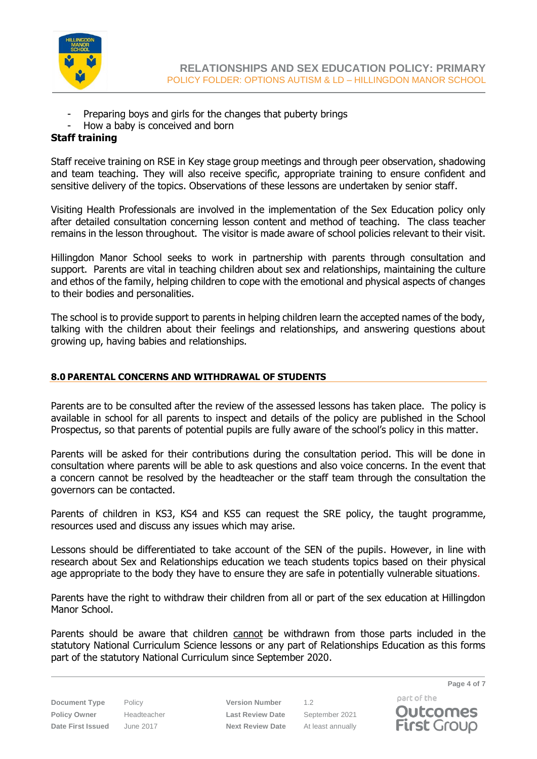

- Preparing boys and girls for the changes that puberty brings
- How a baby is conceived and born

# **Staff training**

Staff receive training on RSE in Key stage group meetings and through peer observation, shadowing and team teaching. They will also receive specific, appropriate training to ensure confident and sensitive delivery of the topics. Observations of these lessons are undertaken by senior staff.

Visiting Health Professionals are involved in the implementation of the Sex Education policy only after detailed consultation concerning lesson content and method of teaching. The class teacher remains in the lesson throughout. The visitor is made aware of school policies relevant to their visit.

Hillingdon Manor School seeks to work in partnership with parents through consultation and support. Parents are vital in teaching children about sex and relationships, maintaining the culture and ethos of the family, helping children to cope with the emotional and physical aspects of changes to their bodies and personalities.

The school is to provide support to parents in helping children learn the accepted names of the body, talking with the children about their feelings and relationships, and answering questions about growing up, having babies and relationships.

# **8.0 PARENTAL CONCERNS AND WITHDRAWAL OF STUDENTS**

Parents are to be consulted after the review of the assessed lessons has taken place. The policy is available in school for all parents to inspect and details of the policy are published in the School Prospectus, so that parents of potential pupils are fully aware of the school's policy in this matter.

Parents will be asked for their contributions during the consultation period. This will be done in consultation where parents will be able to ask questions and also voice concerns. In the event that a concern cannot be resolved by the headteacher or the staff team through the consultation the governors can be contacted.

Parents of children in KS3, KS4 and KS5 can request the SRE policy, the taught programme, resources used and discuss any issues which may arise.

Lessons should be differentiated to take account of the SEN of the pupils. However, in line with research about Sex and Relationships education we teach students topics based on their physical age appropriate to the body they have to ensure they are safe in potentially vulnerable situations.

Parents have the right to withdraw their children from all or part of the sex education at Hillingdon Manor School.

Parents should be aware that children cannot be withdrawn from those parts included in the statutory National Curriculum Science lessons or any part of Relationships Education as this forms part of the statutory National Curriculum since September 2020.

**Document Type** Policy **Version Number** 1.2 **Policy Owner** Headteacher **Last Review Date** September 2021 **Date First Issued** June 2017 **Next Review Date** At least annually

part of the **Outcomes First Group** 

**Page 4 of 7**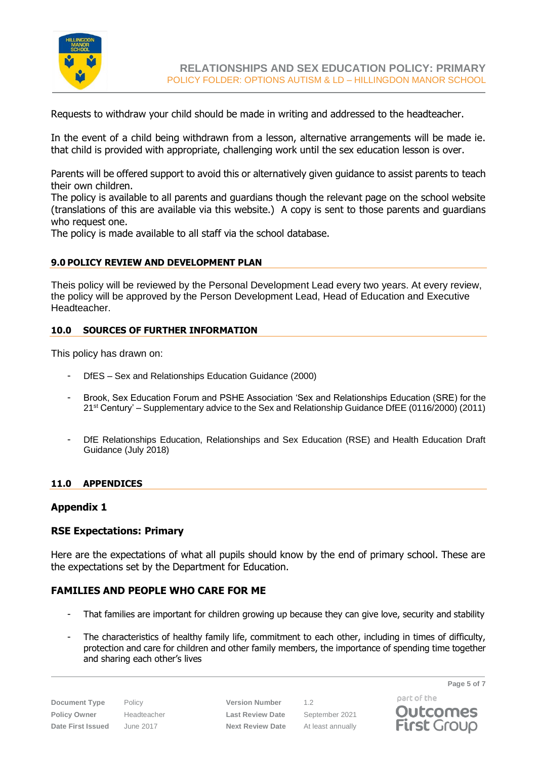

Requests to withdraw your child should be made in writing and addressed to the headteacher.

In the event of a child being withdrawn from a lesson, alternative arrangements will be made ie. that child is provided with appropriate, challenging work until the sex education lesson is over.

Parents will be offered support to avoid this or alternatively given guidance to assist parents to teach their own children.

The policy is available to all parents and guardians though the relevant page on the school website (translations of this are available via this website.) A copy is sent to those parents and guardians who request one.

The policy is made available to all staff via the school database.

#### **9.0 POLICY REVIEW AND DEVELOPMENT PLAN**

Theis policy will be reviewed by the Personal Development Lead every two years. At every review, the policy will be approved by the Person Development Lead, Head of Education and Executive Headteacher.

#### **10.0 SOURCES OF FURTHER INFORMATION**

This policy has drawn on:

- DfES Sex and Relationships Education Guidance (2000)
- Brook, Sex Education Forum and PSHE Association 'Sex and Relationships Education (SRE) for the 21st Century' – Supplementary advice to the Sex and Relationship Guidance DfEE (0116/2000) (2011)
- DfE Relationships Education, Relationships and Sex Education (RSE) and Health Education Draft Guidance (July 2018)

# **11.0 APPENDICES**

#### **Appendix 1**

# **RSE Expectations: Primary**

Here are the expectations of what all pupils should know by the end of primary school. These are the expectations set by the Department for Education.

# **FAMILIES AND PEOPLE WHO CARE FOR ME**

- That families are important for children growing up because they can give love, security and stability
- The characteristics of healthy family life, commitment to each other, including in times of difficulty, protection and care for children and other family members, the importance of spending time together and sharing each other's lives

**Document Type** Policy **Version Number** 1.2 **Policy Owner** Headteacher **Last Review Date** September 2021 **Date First Issued** June 2017 **Next Review Date** At least annually

part of the **Outcomes** 

**First Group** 

**Page 5 of 7**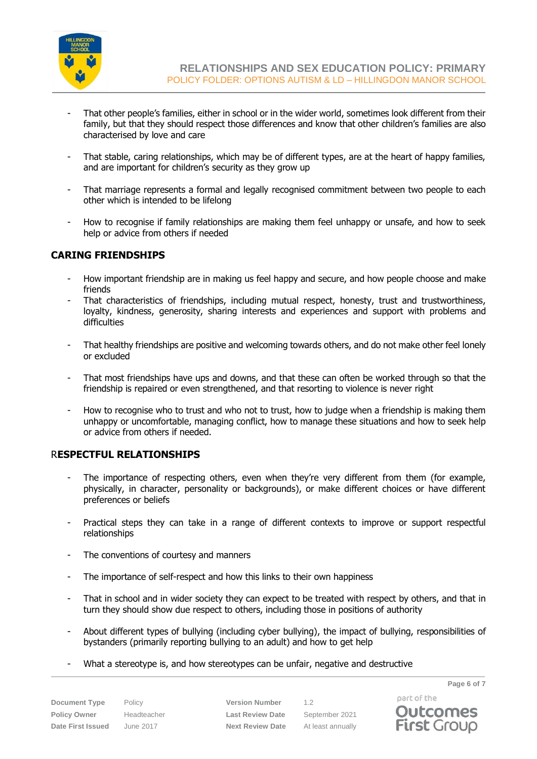

- That other people's families, either in school or in the wider world, sometimes look different from their family, but that they should respect those differences and know that other children's families are also characterised by love and care
- That stable, caring relationships, which may be of different types, are at the heart of happy families, and are important for children's security as they grow up
- That marriage represents a formal and legally recognised commitment between two people to each other which is intended to be lifelong
- How to recognise if family relationships are making them feel unhappy or unsafe, and how to seek help or advice from others if needed

# **CARING FRIENDSHIPS**

- How important friendship are in making us feel happy and secure, and how people choose and make friends
- That characteristics of friendships, including mutual respect, honesty, trust and trustworthiness, loyalty, kindness, generosity, sharing interests and experiences and support with problems and difficulties
- That healthy friendships are positive and welcoming towards others, and do not make other feel lonely or excluded
- That most friendships have ups and downs, and that these can often be worked through so that the friendship is repaired or even strengthened, and that resorting to violence is never right
- How to recognise who to trust and who not to trust, how to judge when a friendship is making them unhappy or uncomfortable, managing conflict, how to manage these situations and how to seek help or advice from others if needed.

# R**ESPECTFUL RELATIONSHIPS**

- The importance of respecting others, even when they're very different from them (for example, physically, in character, personality or backgrounds), or make different choices or have different preferences or beliefs
- Practical steps they can take in a range of different contexts to improve or support respectful relationships
- The conventions of courtesy and manners
- The importance of self-respect and how this links to their own happiness
- That in school and in wider society they can expect to be treated with respect by others, and that in turn they should show due respect to others, including those in positions of authority
- About different types of bullying (including cyber bullying), the impact of bullying, responsibilities of bystanders (primarily reporting bullying to an adult) and how to get help
- What a stereotype is, and how stereotypes can be unfair, negative and destructive

**Document Type** Policy **Version Number** 1.2 **Policy Owner** Headteacher **Last Review Date** September 2021 **Date First Issued** June 2017 **Next Review Date** At least annually

part of the **Outcomes First Group** 

**Page 6 of 7**